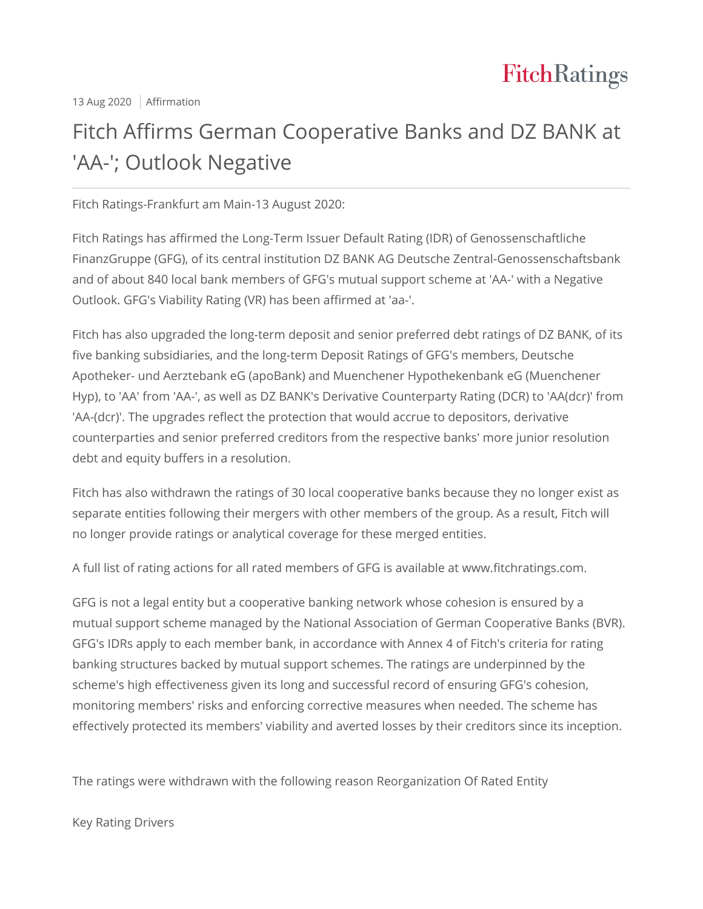# Fitch Affirms German Cooperative Banks and DZ BANK at 'AA-'; Outlook Negative

#### Fitch Ratings-Frankfurt am Main-13 August 2020:

Fitch Ratings has affirmed the Long-Term Issuer Default Rating (IDR) of Genossenschaftliche FinanzGruppe (GFG), of its central institution DZ BANK AG Deutsche Zentral-Genossenschaftsbank and of about 840 local bank members of GFG's mutual support scheme at 'AA-' with a Negative Outlook. GFG's Viability Rating (VR) has been affirmed at 'aa-'.

Fitch has also upgraded the long-term deposit and senior preferred debt ratings of DZ BANK, of its five banking subsidiaries, and the long-term Deposit Ratings of GFG's members, Deutsche Apotheker- und Aerztebank eG (apoBank) and Muenchener Hypothekenbank eG (Muenchener Hyp), to 'AA' from 'AA-', as well as DZ BANK's Derivative Counterparty Rating (DCR) to 'AA(dcr)' from 'AA-(dcr)'. The upgrades reflect the protection that would accrue to depositors, derivative counterparties and senior preferred creditors from the respective banks' more junior resolution debt and equity buffers in a resolution.

Fitch has also withdrawn the ratings of 30 local cooperative banks because they no longer exist as separate entities following their mergers with other members of the group. As a result, Fitch will no longer provide ratings or analytical coverage for these merged entities.

A full list of rating actions for all rated members of GFG is available at www.fitchratings.com.

GFG is not a legal entity but a cooperative banking network whose cohesion is ensured by a mutual support scheme managed by the National Association of German Cooperative Banks (BVR). GFG's IDRs apply to each member bank, in accordance with Annex 4 of Fitch's criteria for rating banking structures backed by mutual support schemes. The ratings are underpinned by the scheme's high effectiveness given its long and successful record of ensuring GFG's cohesion, monitoring members' risks and enforcing corrective measures when needed. The scheme has effectively protected its members' viability and averted losses by their creditors since its inception.

The ratings were withdrawn with the following reason Reorganization Of Rated Entity

Key Rating Drivers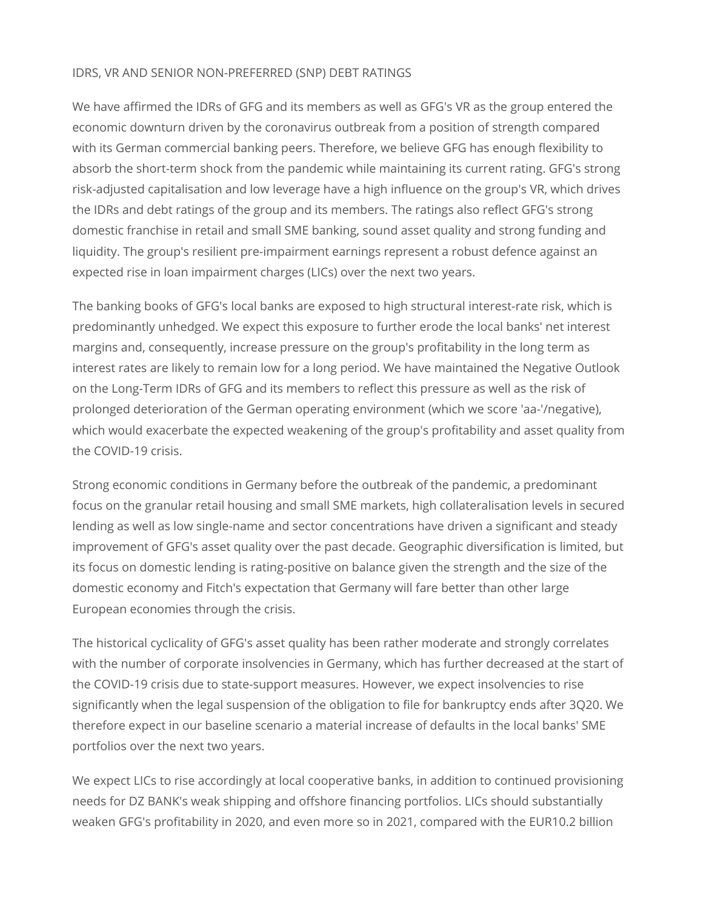#### IDRS, VR AND SENIOR NON-PREFERRED (SNP) DEBT RATINGS

We have affirmed the IDRs of GFG and its members as well as GFG's VR as the group entered the economic downturn driven by the coronavirus outbreak from a position of strength compared with its German commercial banking peers. Therefore, we believe GFG has enough flexibility to absorb the short-term shock from the pandemic while maintaining its current rating. GFG's strong risk-adjusted capitalisation and low leverage have a high influence on the group's VR, which drives the IDRs and debt ratings of the group and its members. The ratings also reflect GFG's strong domestic franchise in retail and small SME banking, sound asset quality and strong funding and liquidity. The group's resilient pre-impairment earnings represent a robust defence against an expected rise in loan impairment charges (LICs) over the next two years.

The banking books of GFG's local banks are exposed to high structural interest-rate risk, which is predominantly unhedged. We expect this exposure to further erode the local banks' net interest margins and, consequently, increase pressure on the group's profitability in the long term as interest rates are likely to remain low for a long period. We have maintained the Negative Outlook on the Long-Term IDRs of GFG and its members to reflect this pressure as well as the risk of prolonged deterioration of the German operating environment (which we score 'aa-'/negative), which would exacerbate the expected weakening of the group's profitability and asset quality from the COVID-19 crisis.

Strong economic conditions in Germany before the outbreak of the pandemic, a predominant focus on the granular retail housing and small SME markets, high collateralisation levels in secured lending as well as low single-name and sector concentrations have driven a significant and steady improvement of GFG's asset quality over the past decade. Geographic diversification is limited, but its focus on domestic lending is rating-positive on balance given the strength and the size of the domestic economy and Fitch's expectation that Germany will fare better than other large European economies through the crisis.

The historical cyclicality of GFG's asset quality has been rather moderate and strongly correlates with the number of corporate insolvencies in Germany, which has further decreased at the start of the COVID-19 crisis due to state-support measures. However, we expect insolvencies to rise significantly when the legal suspension of the obligation to file for bankruptcy ends after 3Q20. We therefore expect in our baseline scenario a material increase of defaults in the local banks' SME portfolios over the next two years.

We expect LICs to rise accordingly at local cooperative banks, in addition to continued provisioning needs for DZ BANK's weak shipping and offshore financing portfolios. LICs should substantially weaken GFG's profitability in 2020, and even more so in 2021, compared with the EUR10.2 billion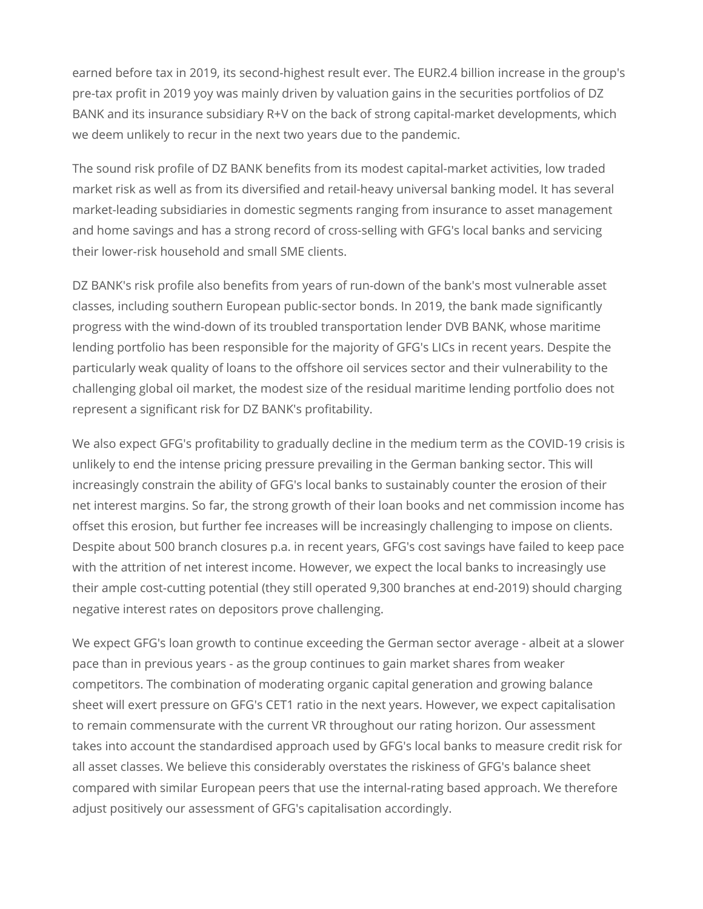earned before tax in 2019, its second-highest result ever. The EUR2.4 billion increase in the group's pre-tax profit in 2019 yoy was mainly driven by valuation gains in the securities portfolios of DZ BANK and its insurance subsidiary R+V on the back of strong capital-market developments, which we deem unlikely to recur in the next two years due to the pandemic.

The sound risk profile of DZ BANK benefits from its modest capital-market activities, low traded market risk as well as from its diversified and retail-heavy universal banking model. It has several market-leading subsidiaries in domestic segments ranging from insurance to asset management and home savings and has a strong record of cross-selling with GFG's local banks and servicing their lower-risk household and small SME clients.

DZ BANK's risk profile also benefits from years of run-down of the bank's most vulnerable asset classes, including southern European public-sector bonds. In 2019, the bank made significantly progress with the wind-down of its troubled transportation lender DVB BANK, whose maritime lending portfolio has been responsible for the majority of GFG's LICs in recent years. Despite the particularly weak quality of loans to the offshore oil services sector and their vulnerability to the challenging global oil market, the modest size of the residual maritime lending portfolio does not represent a significant risk for DZ BANK's profitability.

We also expect GFG's profitability to gradually decline in the medium term as the COVID-19 crisis is unlikely to end the intense pricing pressure prevailing in the German banking sector. This will increasingly constrain the ability of GFG's local banks to sustainably counter the erosion of their net interest margins. So far, the strong growth of their loan books and net commission income has offset this erosion, but further fee increases will be increasingly challenging to impose on clients. Despite about 500 branch closures p.a. in recent years, GFG's cost savings have failed to keep pace with the attrition of net interest income. However, we expect the local banks to increasingly use their ample cost-cutting potential (they still operated 9,300 branches at end-2019) should charging negative interest rates on depositors prove challenging.

We expect GFG's loan growth to continue exceeding the German sector average - albeit at a slower pace than in previous years - as the group continues to gain market shares from weaker competitors. The combination of moderating organic capital generation and growing balance sheet will exert pressure on GFG's CET1 ratio in the next years. However, we expect capitalisation to remain commensurate with the current VR throughout our rating horizon. Our assessment takes into account the standardised approach used by GFG's local banks to measure credit risk for all asset classes. We believe this considerably overstates the riskiness of GFG's balance sheet compared with similar European peers that use the internal-rating based approach. We therefore adjust positively our assessment of GFG's capitalisation accordingly.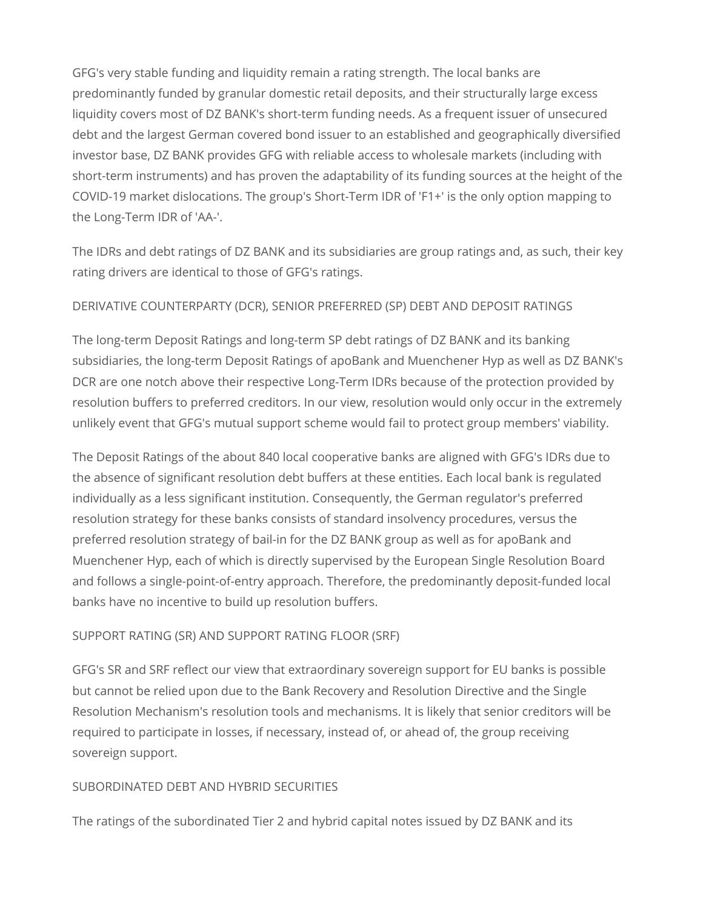GFG's very stable funding and liquidity remain a rating strength. The local banks are predominantly funded by granular domestic retail deposits, and their structurally large excess liquidity covers most of DZ BANK's short-term funding needs. As a frequent issuer of unsecured debt and the largest German covered bond issuer to an established and geographically diversified investor base, DZ BANK provides GFG with reliable access to wholesale markets (including with short-term instruments) and has proven the adaptability of its funding sources at the height of the COVID-19 market dislocations. The group's Short-Term IDR of 'F1+' is the only option mapping to the Long-Term IDR of 'AA-'.

The IDRs and debt ratings of DZ BANK and its subsidiaries are group ratings and, as such, their key rating drivers are identical to those of GFG's ratings.

# DERIVATIVE COUNTERPARTY (DCR), SENIOR PREFERRED (SP) DEBT AND DEPOSIT RATINGS

The long-term Deposit Ratings and long-term SP debt ratings of DZ BANK and its banking subsidiaries, the long-term Deposit Ratings of apoBank and Muenchener Hyp as well as DZ BANK's DCR are one notch above their respective Long-Term IDRs because of the protection provided by resolution buffers to preferred creditors. In our view, resolution would only occur in the extremely unlikely event that GFG's mutual support scheme would fail to protect group members' viability.

The Deposit Ratings of the about 840 local cooperative banks are aligned with GFG's IDRs due to the absence of significant resolution debt buffers at these entities. Each local bank is regulated individually as a less significant institution. Consequently, the German regulator's preferred resolution strategy for these banks consists of standard insolvency procedures, versus the preferred resolution strategy of bail-in for the DZ BANK group as well as for apoBank and Muenchener Hyp, each of which is directly supervised by the European Single Resolution Board and follows a single-point-of-entry approach. Therefore, the predominantly deposit-funded local banks have no incentive to build up resolution buffers.

## SUPPORT RATING (SR) AND SUPPORT RATING FLOOR (SRF)

GFG's SR and SRF reflect our view that extraordinary sovereign support for EU banks is possible but cannot be relied upon due to the Bank Recovery and Resolution Directive and the Single Resolution Mechanism's resolution tools and mechanisms. It is likely that senior creditors will be required to participate in losses, if necessary, instead of, or ahead of, the group receiving sovereign support.

## SUBORDINATED DEBT AND HYBRID SECURITIES

The ratings of the subordinated Tier 2 and hybrid capital notes issued by DZ BANK and its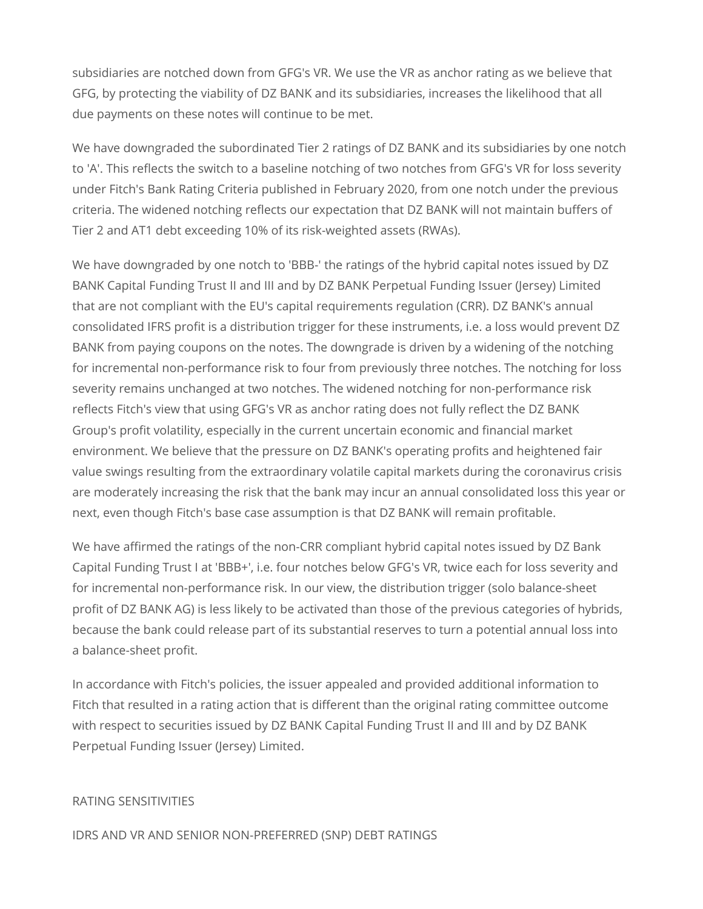subsidiaries are notched down from GFG's VR. We use the VR as anchor rating as we believe that GFG, by protecting the viability of DZ BANK and its subsidiaries, increases the likelihood that all due payments on these notes will continue to be met.

We have downgraded the subordinated Tier 2 ratings of DZ BANK and its subsidiaries by one notch to 'A'. This reflects the switch to a baseline notching of two notches from GFG's VR for loss severity under Fitch's Bank Rating Criteria published in February 2020, from one notch under the previous criteria. The widened notching reflects our expectation that DZ BANK will not maintain buffers of Tier 2 and AT1 debt exceeding 10% of its risk-weighted assets (RWAs).

We have downgraded by one notch to 'BBB-' the ratings of the hybrid capital notes issued by DZ BANK Capital Funding Trust II and III and by DZ BANK Perpetual Funding Issuer (Jersey) Limited that are not compliant with the EU's capital requirements regulation (CRR). DZ BANK's annual consolidated IFRS profit is a distribution trigger for these instruments, i.e. a loss would prevent DZ BANK from paying coupons on the notes. The downgrade is driven by a widening of the notching for incremental non-performance risk to four from previously three notches. The notching for loss severity remains unchanged at two notches. The widened notching for non-performance risk reflects Fitch's view that using GFG's VR as anchor rating does not fully reflect the DZ BANK Group's profit volatility, especially in the current uncertain economic and financial market environment. We believe that the pressure on DZ BANK's operating profits and heightened fair value swings resulting from the extraordinary volatile capital markets during the coronavirus crisis are moderately increasing the risk that the bank may incur an annual consolidated loss this year or next, even though Fitch's base case assumption is that DZ BANK will remain profitable.

We have affirmed the ratings of the non-CRR compliant hybrid capital notes issued by DZ Bank Capital Funding Trust I at 'BBB+', i.e. four notches below GFG's VR, twice each for loss severity and for incremental non-performance risk. In our view, the distribution trigger (solo balance-sheet profit of DZ BANK AG) is less likely to be activated than those of the previous categories of hybrids, because the bank could release part of its substantial reserves to turn a potential annual loss into a balance-sheet profit.

In accordance with Fitch's policies, the issuer appealed and provided additional information to Fitch that resulted in a rating action that is different than the original rating committee outcome with respect to securities issued by DZ BANK Capital Funding Trust II and III and by DZ BANK Perpetual Funding Issuer (Jersey) Limited.

#### RATING SENSITIVITIES

IDRS AND VR AND SENIOR NON-PREFERRED (SNP) DEBT RATINGS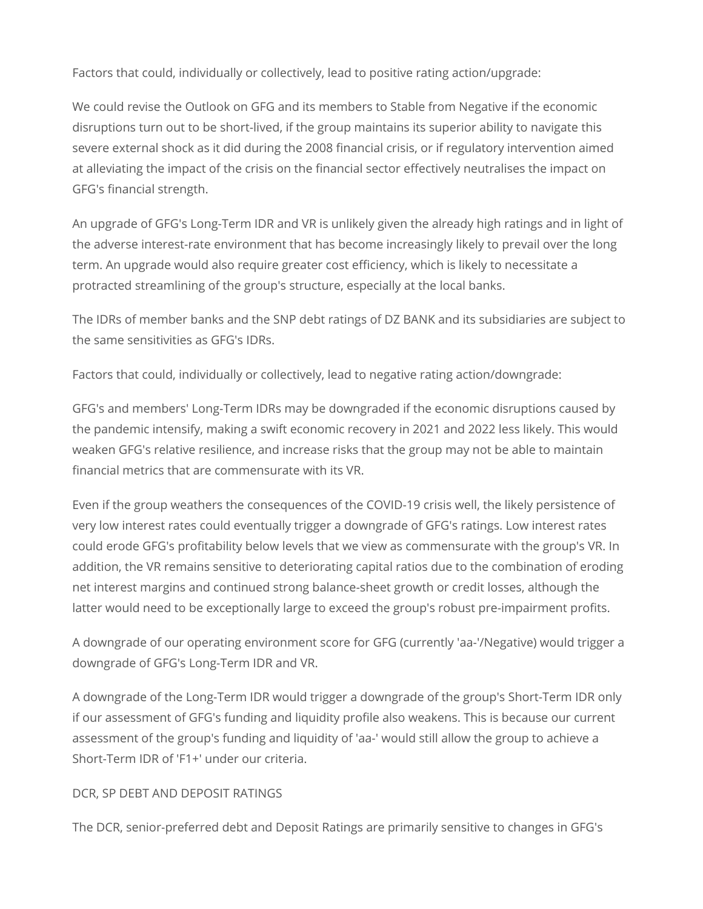Factors that could, individually or collectively, lead to positive rating action/upgrade:

We could revise the Outlook on GFG and its members to Stable from Negative if the economic disruptions turn out to be short-lived, if the group maintains its superior ability to navigate this severe external shock as it did during the 2008 financial crisis, or if regulatory intervention aimed at alleviating the impact of the crisis on the financial sector effectively neutralises the impact on GFG's financial strength.

An upgrade of GFG's Long-Term IDR and VR is unlikely given the already high ratings and in light of the adverse interest-rate environment that has become increasingly likely to prevail over the long term. An upgrade would also require greater cost efficiency, which is likely to necessitate a protracted streamlining of the group's structure, especially at the local banks.

The IDRs of member banks and the SNP debt ratings of DZ BANK and its subsidiaries are subject to the same sensitivities as GFG's IDRs.

Factors that could, individually or collectively, lead to negative rating action/downgrade:

GFG's and members' Long-Term IDRs may be downgraded if the economic disruptions caused by the pandemic intensify, making a swift economic recovery in 2021 and 2022 less likely. This would weaken GFG's relative resilience, and increase risks that the group may not be able to maintain financial metrics that are commensurate with its VR.

Even if the group weathers the consequences of the COVID-19 crisis well, the likely persistence of very low interest rates could eventually trigger a downgrade of GFG's ratings. Low interest rates could erode GFG's profitability below levels that we view as commensurate with the group's VR. In addition, the VR remains sensitive to deteriorating capital ratios due to the combination of eroding net interest margins and continued strong balance-sheet growth or credit losses, although the latter would need to be exceptionally large to exceed the group's robust pre-impairment profits.

A downgrade of our operating environment score for GFG (currently 'aa-'/Negative) would trigger a downgrade of GFG's Long-Term IDR and VR.

A downgrade of the Long-Term IDR would trigger a downgrade of the group's Short-Term IDR only if our assessment of GFG's funding and liquidity profile also weakens. This is because our current assessment of the group's funding and liquidity of 'aa-' would still allow the group to achieve a Short-Term IDR of 'F1+' under our criteria.

## DCR, SP DEBT AND DEPOSIT RATINGS

The DCR, senior-preferred debt and Deposit Ratings are primarily sensitive to changes in GFG's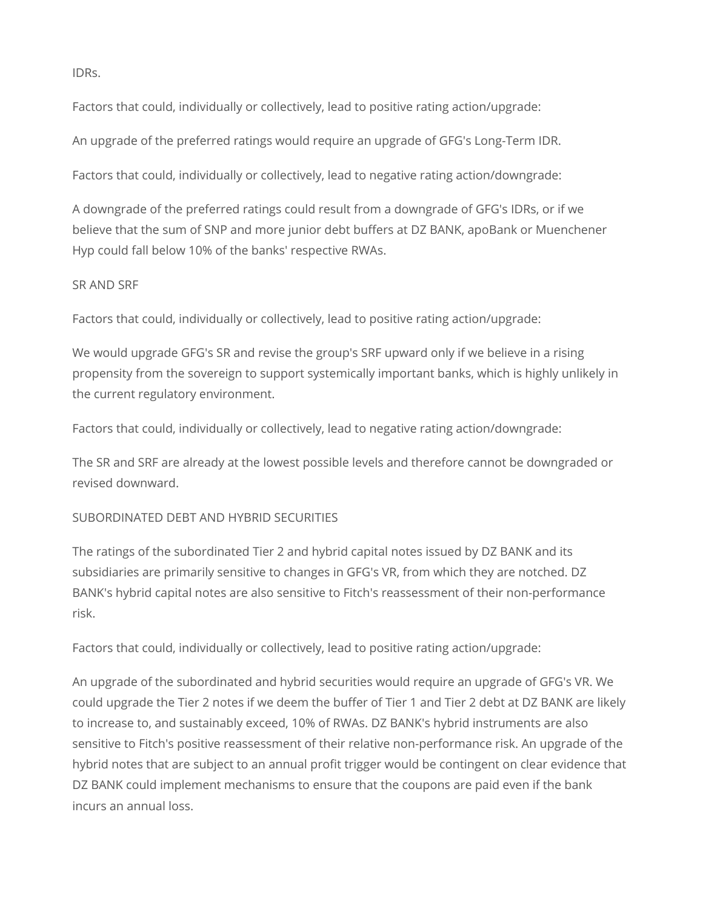IDRs.

Factors that could, individually or collectively, lead to positive rating action/upgrade:

An upgrade of the preferred ratings would require an upgrade of GFG's Long-Term IDR.

Factors that could, individually or collectively, lead to negative rating action/downgrade:

A downgrade of the preferred ratings could result from a downgrade of GFG's IDRs, or if we believe that the sum of SNP and more junior debt buffers at DZ BANK, apoBank or Muenchener Hyp could fall below 10% of the banks' respective RWAs.

## SR AND SRF

Factors that could, individually or collectively, lead to positive rating action/upgrade:

We would upgrade GFG's SR and revise the group's SRF upward only if we believe in a rising propensity from the sovereign to support systemically important banks, which is highly unlikely in the current regulatory environment.

Factors that could, individually or collectively, lead to negative rating action/downgrade:

The SR and SRF are already at the lowest possible levels and therefore cannot be downgraded or revised downward.

## SUBORDINATED DEBT AND HYBRID SECURITIES

The ratings of the subordinated Tier 2 and hybrid capital notes issued by DZ BANK and its subsidiaries are primarily sensitive to changes in GFG's VR, from which they are notched. DZ BANK's hybrid capital notes are also sensitive to Fitch's reassessment of their non-performance risk.

Factors that could, individually or collectively, lead to positive rating action/upgrade:

An upgrade of the subordinated and hybrid securities would require an upgrade of GFG's VR. We could upgrade the Tier 2 notes if we deem the buffer of Tier 1 and Tier 2 debt at DZ BANK are likely to increase to, and sustainably exceed, 10% of RWAs. DZ BANK's hybrid instruments are also sensitive to Fitch's positive reassessment of their relative non-performance risk. An upgrade of the hybrid notes that are subject to an annual profit trigger would be contingent on clear evidence that DZ BANK could implement mechanisms to ensure that the coupons are paid even if the bank incurs an annual loss.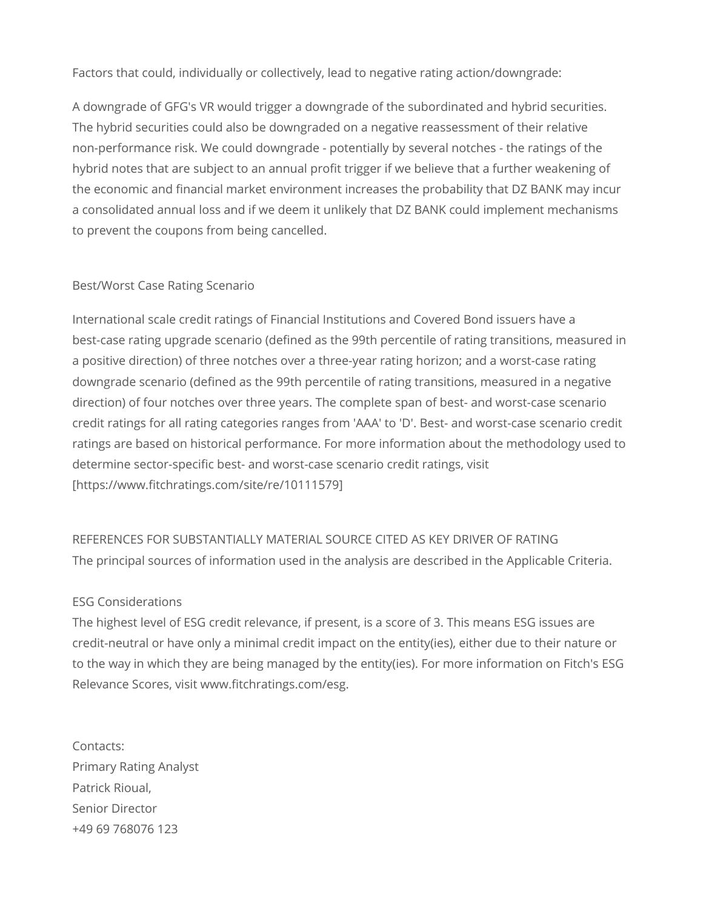Factors that could, individually or collectively, lead to negative rating action/downgrade:

A downgrade of GFG's VR would trigger a downgrade of the subordinated and hybrid securities. The hybrid securities could also be downgraded on a negative reassessment of their relative non-performance risk. We could downgrade - potentially by several notches - the ratings of the hybrid notes that are subject to an annual profit trigger if we believe that a further weakening of the economic and financial market environment increases the probability that DZ BANK may incur a consolidated annual loss and if we deem it unlikely that DZ BANK could implement mechanisms to prevent the coupons from being cancelled.

#### Best/Worst Case Rating Scenario

International scale credit ratings of Financial Institutions and Covered Bond issuers have a best-case rating upgrade scenario (defined as the 99th percentile of rating transitions, measured in a positive direction) of three notches over a three-year rating horizon; and a worst-case rating downgrade scenario (defined as the 99th percentile of rating transitions, measured in a negative direction) of four notches over three years. The complete span of best- and worst-case scenario credit ratings for all rating categories ranges from 'AAA' to 'D'. Best- and worst-case scenario credit ratings are based on historical performance. For more information about the methodology used to determine sector-specific best- and worst-case scenario credit ratings, visit [https://www.fitchratings.com/site/re/10111579]

# REFERENCES FOR SUBSTANTIALLY MATERIAL SOURCE CITED AS KEY DRIVER OF RATING The principal sources of information used in the analysis are described in the Applicable Criteria.

#### ESG Considerations

The highest level of ESG credit relevance, if present, is a score of 3. This means ESG issues are credit-neutral or have only a minimal credit impact on the entity(ies), either due to their nature or to the way in which they are being managed by the entity(ies). For more information on Fitch's ESG Relevance Scores, visit www.fitchratings.com/esg.

Contacts: Primary Rating Analyst Patrick Rioual, Senior Director +49 69 768076 123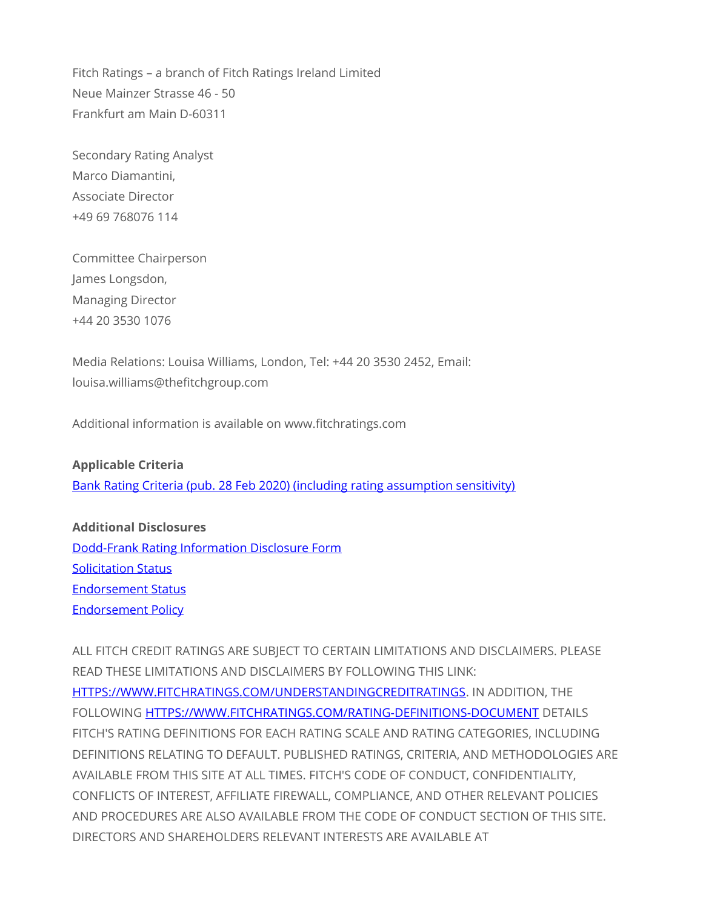Fitch Ratings – a branch of Fitch Ratings Ireland Limited Neue Mainzer Strasse 46 - 50 Frankfurt am Main D-60311

Secondary Rating Analyst Marco Diamantini, Associate Director +49 69 768076 114

Committee Chairperson James Longsdon, Managing Director +44 20 3530 1076

Media Relations: Louisa Williams, London, Tel: +44 20 3530 2452, Email: louisa.williams@thefitchgroup.com

Additional information is available on www.fitchratings.com

**Applicable Criteria** [Bank Rating Criteria \(pub. 28 Feb 2020\) \(including rating assumption sensitivity\)](https://app.fitchconnect.com/search/research/article/RPT_10110041)

#### **Additional Disclosures**

[Dodd-Frank Rating Information Disclosure Form](https://www.fitchratings.com/site/dodd-frank-disclosure/10132349) [Solicitation Status](https://app.fitchconnect.com/search/research/article/PR_10132349#solicitation) [Endorsement Status](https://app.fitchconnect.com/search/research/article/PR_10132349#endorsement_status) [Endorsement Policy](#page-11-0)

ALL FITCH CREDIT RATINGS ARE SUBJECT TO CERTAIN LIMITATIONS AND DISCLAIMERS. PLEASE READ THESE LIMITATIONS AND DISCLAIMERS BY FOLLOWING THIS LINK: [HTTPS://WWW.FITCHRATINGS.COM/UNDERSTANDINGCREDITRATINGS.](https://www.fitchratings.com/UNDERSTANDINGCREDITRATINGS) IN ADDITION, THE FOLLOWING [HTTPS://WWW.FITCHRATINGS.COM/RATING-DEFINITIONS-DOCUMENT](https://www.fitchratings.com/rating-definitions-document) DETAILS FITCH'S RATING DEFINITIONS FOR EACH RATING SCALE AND RATING CATEGORIES, INCLUDING DEFINITIONS RELATING TO DEFAULT. PUBLISHED RATINGS, CRITERIA, AND METHODOLOGIES ARE AVAILABLE FROM THIS SITE AT ALL TIMES. FITCH'S CODE OF CONDUCT, CONFIDENTIALITY, CONFLICTS OF INTEREST, AFFILIATE FIREWALL, COMPLIANCE, AND OTHER RELEVANT POLICIES AND PROCEDURES ARE ALSO AVAILABLE FROM THE CODE OF CONDUCT SECTION OF THIS SITE. DIRECTORS AND SHAREHOLDERS RELEVANT INTERESTS ARE AVAILABLE AT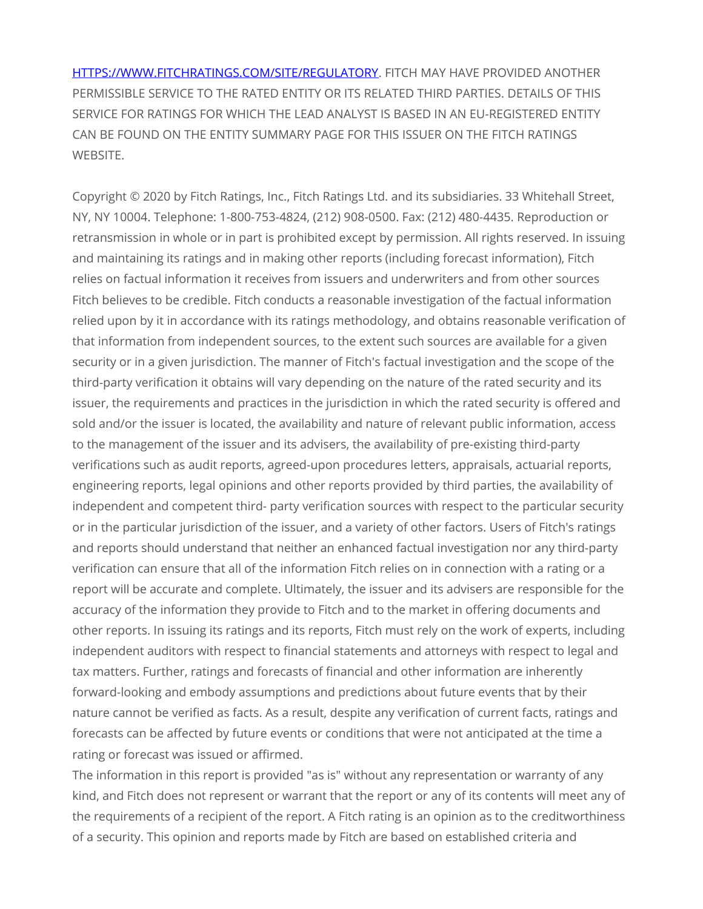[HTTPS://WWW.FITCHRATINGS.COM/SITE/REGULATORY.](https://www.fitchratings.com/site/regulatory) FITCH MAY HAVE PROVIDED ANOTHER PERMISSIBLE SERVICE TO THE RATED ENTITY OR ITS RELATED THIRD PARTIES. DETAILS OF THIS SERVICE FOR RATINGS FOR WHICH THE LEAD ANALYST IS BASED IN AN EU-REGISTERED ENTITY CAN BE FOUND ON THE ENTITY SUMMARY PAGE FOR THIS ISSUER ON THE FITCH RATINGS WEBSITE.

Copyright © 2020 by Fitch Ratings, Inc., Fitch Ratings Ltd. and its subsidiaries. 33 Whitehall Street, NY, NY 10004. Telephone: 1-800-753-4824, (212) 908-0500. Fax: (212) 480-4435. Reproduction or retransmission in whole or in part is prohibited except by permission. All rights reserved. In issuing and maintaining its ratings and in making other reports (including forecast information), Fitch relies on factual information it receives from issuers and underwriters and from other sources Fitch believes to be credible. Fitch conducts a reasonable investigation of the factual information relied upon by it in accordance with its ratings methodology, and obtains reasonable verification of that information from independent sources, to the extent such sources are available for a given security or in a given jurisdiction. The manner of Fitch's factual investigation and the scope of the third-party verification it obtains will vary depending on the nature of the rated security and its issuer, the requirements and practices in the jurisdiction in which the rated security is offered and sold and/or the issuer is located, the availability and nature of relevant public information, access to the management of the issuer and its advisers, the availability of pre-existing third-party verifications such as audit reports, agreed-upon procedures letters, appraisals, actuarial reports, engineering reports, legal opinions and other reports provided by third parties, the availability of independent and competent third- party verification sources with respect to the particular security or in the particular jurisdiction of the issuer, and a variety of other factors. Users of Fitch's ratings and reports should understand that neither an enhanced factual investigation nor any third-party verification can ensure that all of the information Fitch relies on in connection with a rating or a report will be accurate and complete. Ultimately, the issuer and its advisers are responsible for the accuracy of the information they provide to Fitch and to the market in offering documents and other reports. In issuing its ratings and its reports, Fitch must rely on the work of experts, including independent auditors with respect to financial statements and attorneys with respect to legal and tax matters. Further, ratings and forecasts of financial and other information are inherently forward-looking and embody assumptions and predictions about future events that by their nature cannot be verified as facts. As a result, despite any verification of current facts, ratings and forecasts can be affected by future events or conditions that were not anticipated at the time a rating or forecast was issued or affirmed.

The information in this report is provided "as is" without any representation or warranty of any kind, and Fitch does not represent or warrant that the report or any of its contents will meet any of the requirements of a recipient of the report. A Fitch rating is an opinion as to the creditworthiness of a security. This opinion and reports made by Fitch are based on established criteria and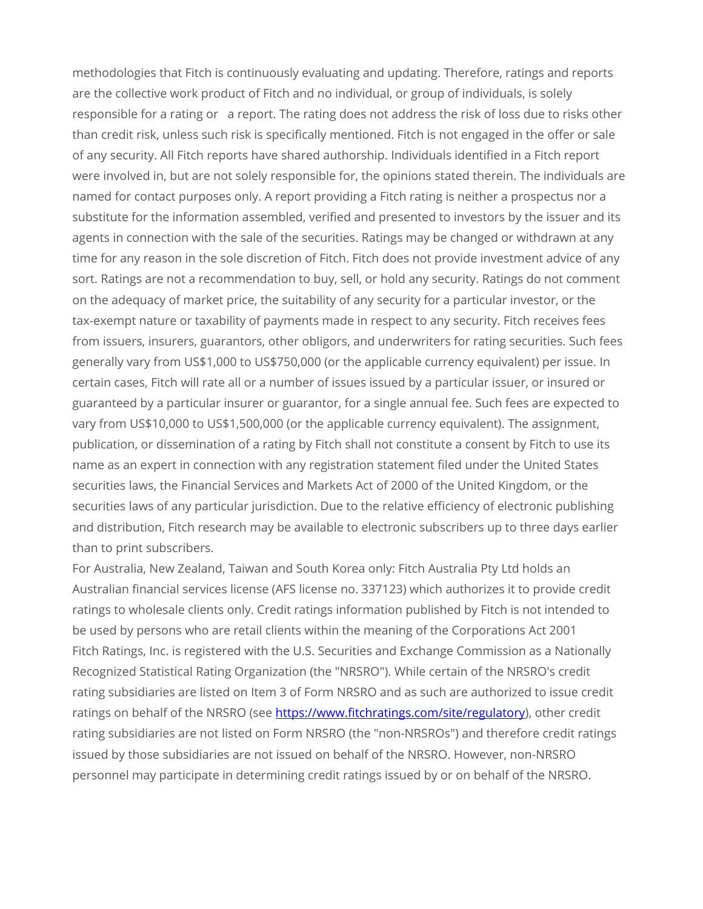methodologies that Fitch is continuously evaluating and updating. Therefore, ratings and reports are the collective work product of Fitch and no individual, or group of individuals, is solely responsible for a rating or a report. The rating does not address the risk of loss due to risks other than credit risk, unless such risk is specifically mentioned. Fitch is not engaged in the offer or sale of any security. All Fitch reports have shared authorship. Individuals identified in a Fitch report were involved in, but are not solely responsible for, the opinions stated therein. The individuals are named for contact purposes only. A report providing a Fitch rating is neither a prospectus nor a substitute for the information assembled, verified and presented to investors by the issuer and its agents in connection with the sale of the securities. Ratings may be changed or withdrawn at any time for any reason in the sole discretion of Fitch. Fitch does not provide investment advice of any sort. Ratings are not a recommendation to buy, sell, or hold any security. Ratings do not comment on the adequacy of market price, the suitability of any security for a particular investor, or the tax-exempt nature or taxability of payments made in respect to any security. Fitch receives fees from issuers, insurers, guarantors, other obligors, and underwriters for rating securities. Such fees generally vary from US\$1,000 to US\$750,000 (or the applicable currency equivalent) per issue. In certain cases, Fitch will rate all or a number of issues issued by a particular issuer, or insured or guaranteed by a particular insurer or guarantor, for a single annual fee. Such fees are expected to vary from US\$10,000 to US\$1,500,000 (or the applicable currency equivalent). The assignment, publication, or dissemination of a rating by Fitch shall not constitute a consent by Fitch to use its name as an expert in connection with any registration statement filed under the United States securities laws, the Financial Services and Markets Act of 2000 of the United Kingdom, or the securities laws of any particular jurisdiction. Due to the relative efficiency of electronic publishing and distribution, Fitch research may be available to electronic subscribers up to three days earlier than to print subscribers.

For Australia, New Zealand, Taiwan and South Korea only: Fitch Australia Pty Ltd holds an Australian financial services license (AFS license no. 337123) which authorizes it to provide credit ratings to wholesale clients only. Credit ratings information published by Fitch is not intended to be used by persons who are retail clients within the meaning of the Corporations Act 2001 Fitch Ratings, Inc. is registered with the U.S. Securities and Exchange Commission as a Nationally Recognized Statistical Rating Organization (the "NRSRO"). While certain of the NRSRO's credit rating subsidiaries are listed on Item 3 of Form NRSRO and as such are authorized to issue credit ratings on behalf of the NRSRO (see [https://www.fitchratings.com/site/regulatory\)](https://www.fitchratings.com/site/regulatory), other credit rating subsidiaries are not listed on Form NRSRO (the "non-NRSROs") and therefore credit ratings issued by those subsidiaries are not issued on behalf of the NRSRO. However, non-NRSRO personnel may participate in determining credit ratings issued by or on behalf of the NRSRO.